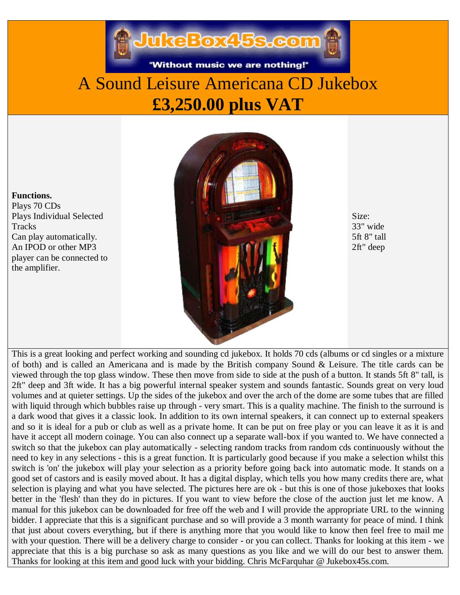## ukeBox45s.com

"Without music we are nothing!"

## A Sound Leisure Americana CD Jukebox **£3,250.00 plus VAT**

**Functions.** Plays 70 CDs Plays Individual Selected **Tracks** Can play automatically. An IPOD or other MP3 player can be connected to the amplifier.



Size: 33" wide 5ft 8" tall 2ft" deep

This is a great looking and perfect working and sounding cd jukebox. It holds 70 cds (albums or cd singles or a mixture of both) and is called an Americana and is made by the British company Sound & Leisure. The title cards can be viewed through the top glass window. These then move from side to side at the push of a button. It stands 5ft 8" tall, is 2ft" deep and 3ft wide. It has a big powerful internal speaker system and sounds fantastic. Sounds great on very loud volumes and at quieter settings. Up the sides of the jukebox and over the arch of the dome are some tubes that are filled with liquid through which bubbles raise up through - very smart. This is a quality machine. The finish to the surround is a dark wood that gives it a classic look. In addition to its own internal speakers, it can connect up to external speakers and so it is ideal for a pub or club as well as a private home. It can be put on free play or you can leave it as it is and have it accept all modern coinage. You can also connect up a separate wall-box if you wanted to. We have connected a switch so that the jukebox can play automatically - selecting random tracks from random cds continuously without the need to key in any selections - this is a great function. It is particularly good because if you make a selection whilst this switch is 'on' the jukebox will play your selection as a priority before going back into automatic mode. It stands on a good set of castors and is easily moved about. It has a digital display, which tells you how many credits there are, what selection is playing and what you have selected. The pictures here are ok - but this is one of those jukeboxes that looks better in the 'flesh' than they do in pictures. If you want to view before the close of the auction just let me know. A manual for this jukebox can be downloaded for free off the web and I will provide the appropriate URL to the winning bidder. I appreciate that this is a significant purchase and so will provide a 3 month warranty for peace of mind. I think that just about covers everything, but if there is anything more that you would like to know then feel free to mail me with your question. There will be a delivery charge to consider - or you can collect. Thanks for looking at this item - we appreciate that this is a big purchase so ask as many questions as you like and we will do our best to answer them. Thanks for looking at this item and good luck with your bidding. Chris McFarquhar @ Jukebox45s.com.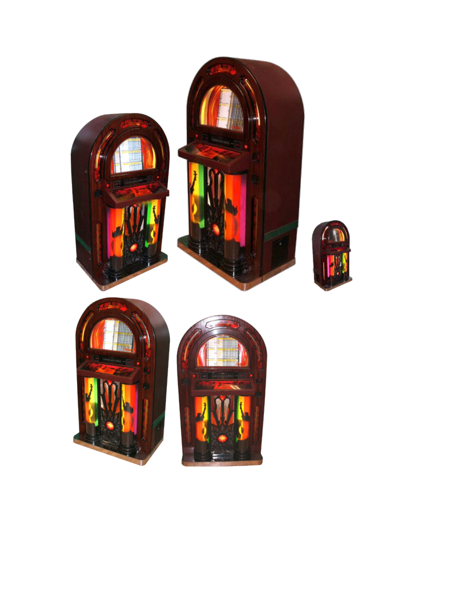